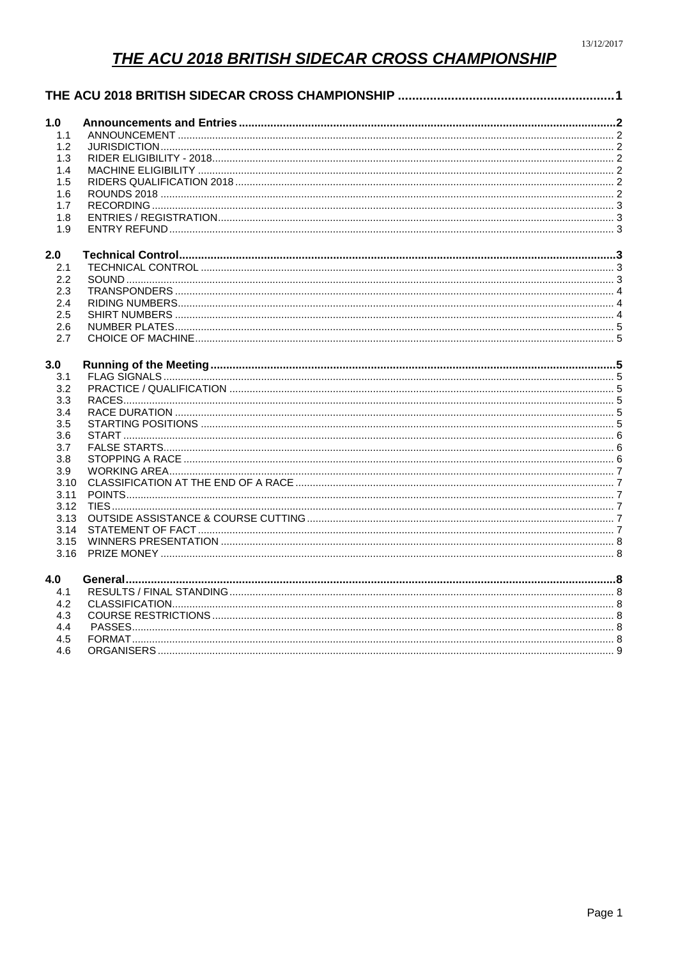# THE ACU 2018 BRITISH SIDECAR CROSS CHAMPIONSHIP

<span id="page-0-0"></span>

| 1.0  |  |
|------|--|
| 1.1  |  |
| 1.2  |  |
| 1.3  |  |
| 1.4  |  |
| 1.5  |  |
| 1.6  |  |
| 1.7  |  |
| 1.8  |  |
| 1.9  |  |
| 2.0  |  |
| 2.1  |  |
| 2.2  |  |
| 2.3  |  |
| 2.4  |  |
| 2.5  |  |
| 2.6  |  |
| 2.7  |  |
| 3.0  |  |
| 3.1  |  |
| 3.2  |  |
| 3.3  |  |
| 3.4  |  |
| 3.5  |  |
| 3.6  |  |
| 3.7  |  |
| 3.8  |  |
| 3.9  |  |
| 3.10 |  |
| 3.11 |  |
| 3.12 |  |
| 3.13 |  |
| 3.14 |  |
| 3.15 |  |
| 3.16 |  |
| 4.0  |  |
| 4.1  |  |
| 4.2  |  |
| 4.3  |  |
| 4.4  |  |
| 4.5  |  |
| 4.6  |  |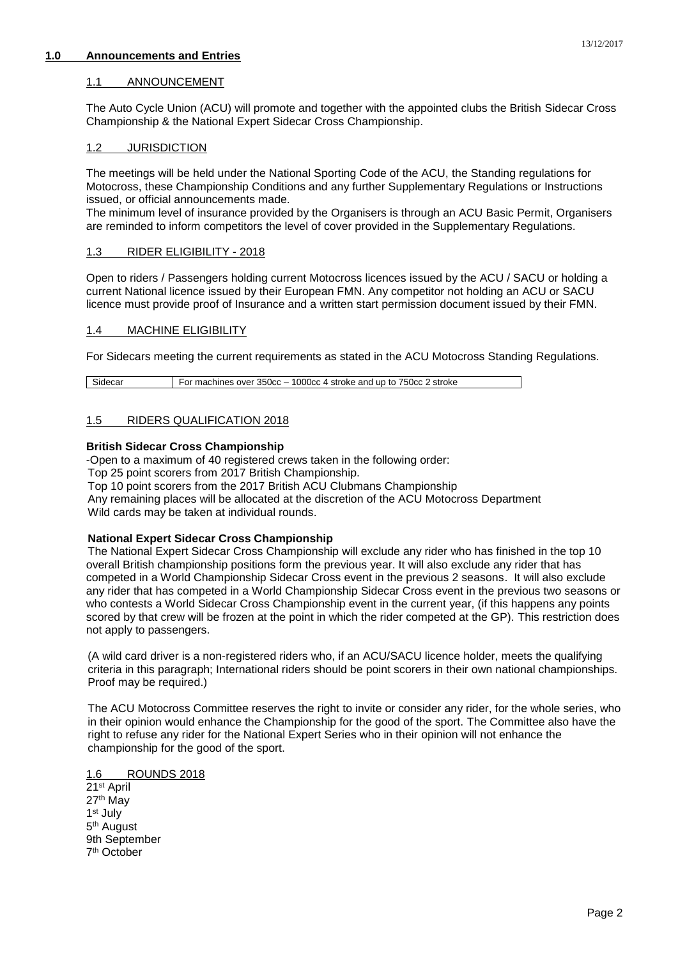## <span id="page-1-1"></span><span id="page-1-0"></span>**1.0 Announcements and Entries**

## 1.1 ANNOUNCEMENT

The Auto Cycle Union (ACU) will promote and together with the appointed clubs the British Sidecar Cross Championship & the National Expert Sidecar Cross Championship.

## <span id="page-1-2"></span>1.2 JURISDICTION

The meetings will be held under the National Sporting Code of the ACU, the Standing regulations for Motocross, these Championship Conditions and any further Supplementary Regulations or Instructions issued, or official announcements made.

The minimum level of insurance provided by the Organisers is through an ACU Basic Permit, Organisers are reminded to inform competitors the level of cover provided in the Supplementary Regulations.

## <span id="page-1-3"></span>1.3 RIDER ELIGIBILITY - 2018

Open to riders / Passengers holding current Motocross licences issued by the ACU / SACU or holding a current National licence issued by their European FMN. Any competitor not holding an ACU or SACU licence must provide proof of Insurance and a written start permission document issued by their FMN.

## <span id="page-1-4"></span>1.4 MACHINE ELIGIBILITY

For Sidecars meeting the current requirements as stated in the ACU Motocross Standing Regulations.

Sidecar For machines over 350cc – 1000cc 4 stroke and up to 750cc 2 stroke

## <span id="page-1-5"></span>1.5 RIDERS QUALIFICATION 2018

## **British Sidecar Cross Championship**

-Open to a maximum of 40 registered crews taken in the following order:

Top 25 point scorers from 2017 British Championship.

Top 10 point scorers from the 2017 British ACU Clubmans Championship

Any remaining places will be allocated at the discretion of the ACU Motocross Department Wild cards may be taken at individual rounds.

#### **National Expert Sidecar Cross Championship**

The National Expert Sidecar Cross Championship will exclude any rider who has finished in the top 10 overall British championship positions form the previous year. It will also exclude any rider that has competed in a World Championship Sidecar Cross event in the previous 2 seasons. It will also exclude any rider that has competed in a World Championship Sidecar Cross event in the previous two seasons or who contests a World Sidecar Cross Championship event in the current year, (if this happens any points scored by that crew will be frozen at the point in which the rider competed at the GP). This restriction does not apply to passengers.

(A wild card driver is a non-registered riders who, if an ACU/SACU licence holder, meets the qualifying criteria in this paragraph; International riders should be point scorers in their own national championships. Proof may be required.)

The ACU Motocross Committee reserves the right to invite or consider any rider, for the whole series, who in their opinion would enhance the Championship for the good of the sport. The Committee also have the right to refuse any rider for the National Expert Series who in their opinion will not enhance the championship for the good of the sport.

#### <span id="page-1-6"></span>1.6 ROUNDS 2018

21st April 27th May 1 st July 5<sup>th</sup> August 9th September 7 th October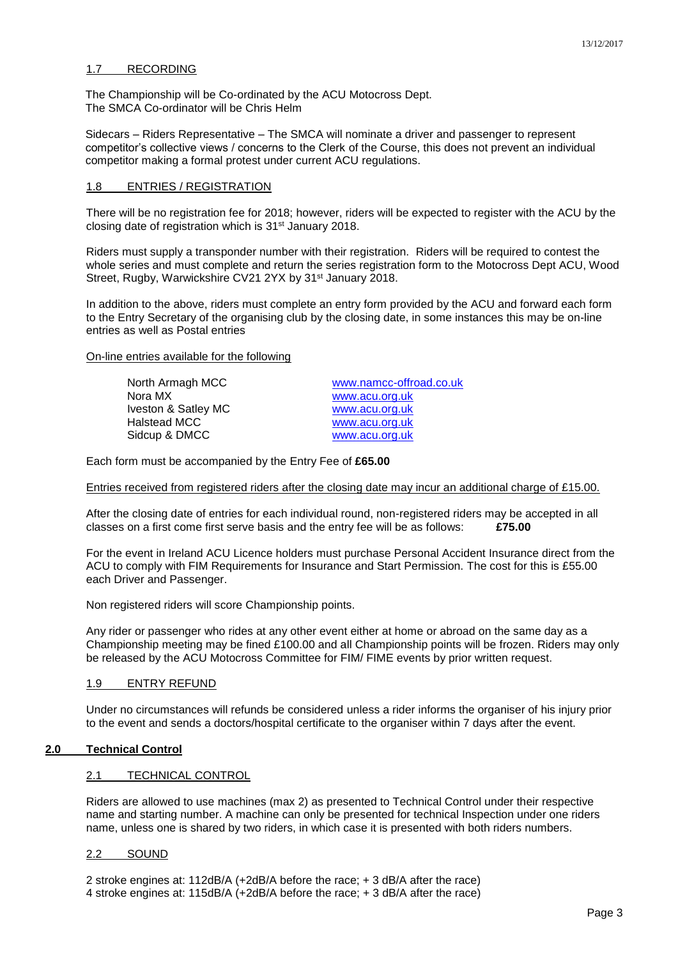# <span id="page-2-0"></span>1.7 RECORDING

The Championship will be Co-ordinated by the ACU Motocross Dept. The SMCA Co-ordinator will be Chris Helm

Sidecars – Riders Representative – The SMCA will nominate a driver and passenger to represent competitor's collective views / concerns to the Clerk of the Course, this does not prevent an individual competitor making a formal protest under current ACU regulations.

## <span id="page-2-1"></span>1.8 ENTRIES / REGISTRATION

There will be no registration fee for 2018; however, riders will be expected to register with the ACU by the closing date of registration which is 31st January 2018.

Riders must supply a transponder number with their registration. Riders will be required to contest the whole series and must complete and return the series registration form to the Motocross Dept ACU, Wood Street, Rugby, Warwickshire CV21 2YX by 31<sup>st</sup> January 2018.

In addition to the above, riders must complete an entry form provided by the ACU and forward each form to the Entry Secretary of the organising club by the closing date, in some instances this may be on-line entries as well as Postal entries

#### On-line entries available for the following

Nora MX [www.acu.org.uk](http://www.acu.org.uk/) Iveston & Satley MC [www.acu.org.uk](http://www.acu.org.uk/) Halstead MCC [www.acu.org.uk](http://www.acu.org.uk/) Sidcup & DMCC [www.acu.org.uk](http://www.acu.org.uk/)

North Armagh MCC [www.namcc-offroad.co.uk](http://www.namcc-offroad.co.uk/)

Each form must be accompanied by the Entry Fee of **£65.00**

## Entries received from registered riders after the closing date may incur an additional charge of £15.00.

After the closing date of entries for each individual round, non-registered riders may be accepted in all classes on a first come first serve basis and the entry fee will be as follows: **£75.00**

For the event in Ireland ACU Licence holders must purchase Personal Accident Insurance direct from the ACU to comply with FIM Requirements for Insurance and Start Permission. The cost for this is £55.00 each Driver and Passenger.

Non registered riders will score Championship points.

Any rider or passenger who rides at any other event either at home or abroad on the same day as a Championship meeting may be fined £100.00 and all Championship points will be frozen. Riders may only be released by the ACU Motocross Committee for FIM/ FIME events by prior written request.

#### <span id="page-2-2"></span>1.9 ENTRY REFUND

Under no circumstances will refunds be considered unless a rider informs the organiser of his injury prior to the event and sends a doctors/hospital certificate to the organiser within 7 days after the event.

#### <span id="page-2-4"></span><span id="page-2-3"></span>**2.0 Technical Control**

#### 2.1 TECHNICAL CONTROL

Riders are allowed to use machines (max 2) as presented to Technical Control under their respective name and starting number. A machine can only be presented for technical Inspection under one riders name, unless one is shared by two riders, in which case it is presented with both riders numbers.

#### <span id="page-2-5"></span>2.2 SOUND

2 stroke engines at: 112dB/A (+2dB/A before the race; + 3 dB/A after the race) 4 stroke engines at: 115dB/A (+2dB/A before the race; + 3 dB/A after the race)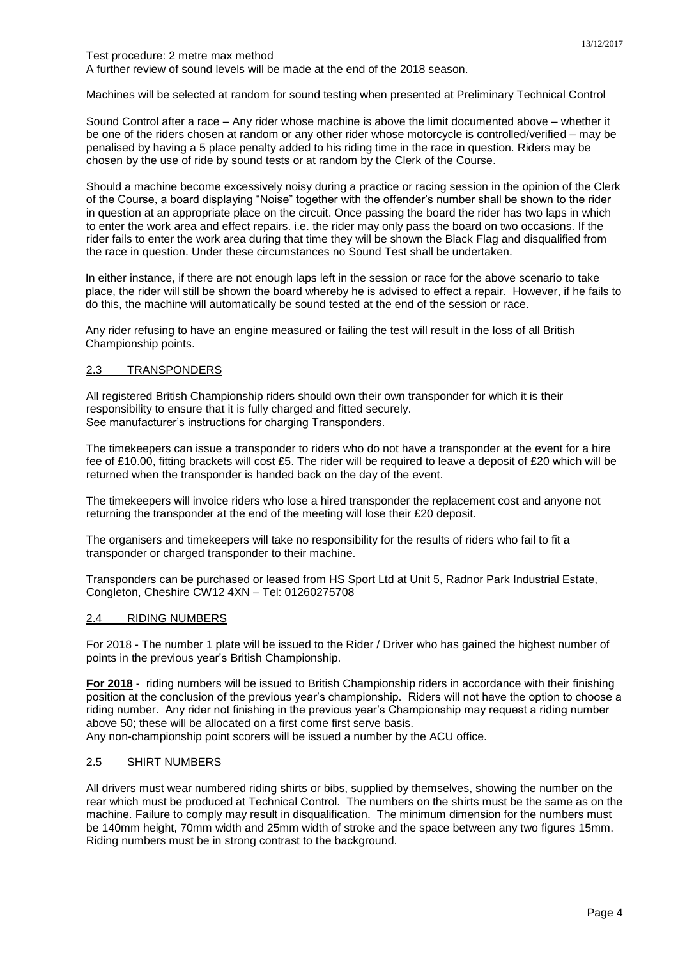#### Test procedure: 2 metre max method A further review of sound levels will be made at the end of the 2018 season.

Machines will be selected at random for sound testing when presented at Preliminary Technical Control

Sound Control after a race – Any rider whose machine is above the limit documented above – whether it be one of the riders chosen at random or any other rider whose motorcycle is controlled/verified – may be penalised by having a 5 place penalty added to his riding time in the race in question. Riders may be chosen by the use of ride by sound tests or at random by the Clerk of the Course.

Should a machine become excessively noisy during a practice or racing session in the opinion of the Clerk of the Course, a board displaying "Noise" together with the offender's number shall be shown to the rider in question at an appropriate place on the circuit. Once passing the board the rider has two laps in which to enter the work area and effect repairs. i.e. the rider may only pass the board on two occasions. If the rider fails to enter the work area during that time they will be shown the Black Flag and disqualified from the race in question. Under these circumstances no Sound Test shall be undertaken.

In either instance, if there are not enough laps left in the session or race for the above scenario to take place, the rider will still be shown the board whereby he is advised to effect a repair. However, if he fails to do this, the machine will automatically be sound tested at the end of the session or race.

Any rider refusing to have an engine measured or failing the test will result in the loss of all British Championship points.

## <span id="page-3-0"></span>2.3 TRANSPONDERS

All registered British Championship riders should own their own transponder for which it is their responsibility to ensure that it is fully charged and fitted securely. See manufacturer's instructions for charging Transponders.

The timekeepers can issue a transponder to riders who do not have a transponder at the event for a hire fee of £10.00, fitting brackets will cost £5. The rider will be required to leave a deposit of £20 which will be returned when the transponder is handed back on the day of the event.

The timekeepers will invoice riders who lose a hired transponder the replacement cost and anyone not returning the transponder at the end of the meeting will lose their £20 deposit.

The organisers and timekeepers will take no responsibility for the results of riders who fail to fit a transponder or charged transponder to their machine.

Transponders can be purchased or leased from HS Sport Ltd at Unit 5, Radnor Park Industrial Estate, Congleton, Cheshire CW12 4XN – Tel: 01260275708

## <span id="page-3-1"></span>2.4 RIDING NUMBERS

For 2018 - The number 1 plate will be issued to the Rider / Driver who has gained the highest number of points in the previous year's British Championship.

**For 2018** - riding numbers will be issued to British Championship riders in accordance with their finishing position at the conclusion of the previous year's championship. Riders will not have the option to choose a riding number. Any rider not finishing in the previous year's Championship may request a riding number above 50; these will be allocated on a first come first serve basis.

Any non-championship point scorers will be issued a number by the ACU office.

## <span id="page-3-2"></span>2.5 SHIRT NUMBERS

All drivers must wear numbered riding shirts or bibs, supplied by themselves, showing the number on the rear which must be produced at Technical Control. The numbers on the shirts must be the same as on the machine. Failure to comply may result in disqualification. The minimum dimension for the numbers must be 140mm height, 70mm width and 25mm width of stroke and the space between any two figures 15mm. Riding numbers must be in strong contrast to the background.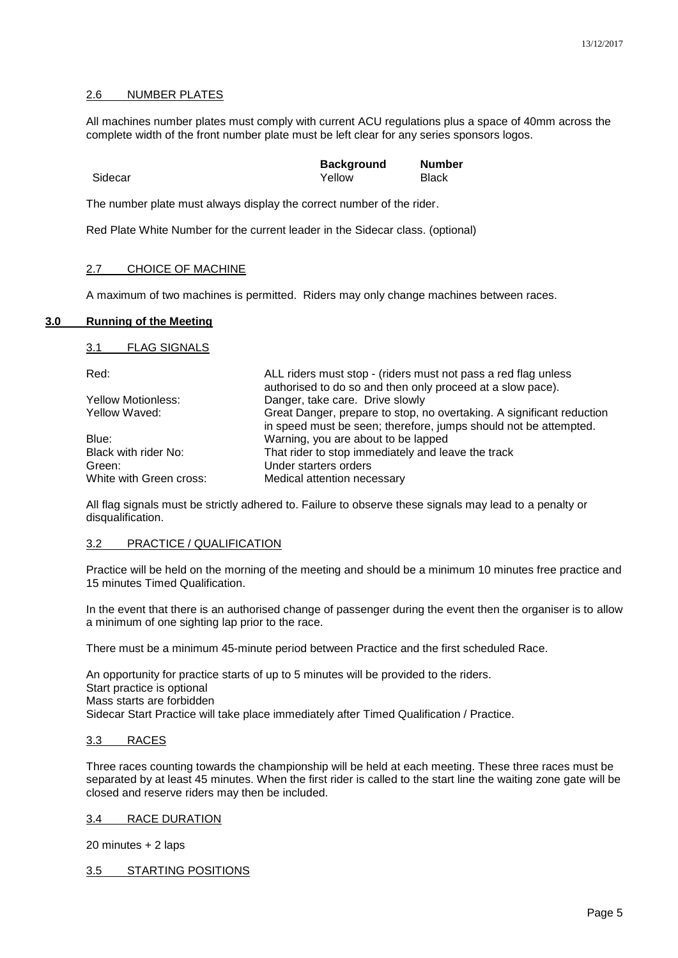#### <span id="page-4-0"></span>2.6 NUMBER PLATES

All machines number plates must comply with current ACU regulations plus a space of 40mm across the complete width of the front number plate must be left clear for any series sponsors logos.

|         | <b>Background</b> | <b>Number</b> |
|---------|-------------------|---------------|
| Sidecar | Yellow            | <b>Black</b>  |

The number plate must always display the correct number of the rider.

Red Plate White Number for the current leader in the Sidecar class. (optional)

## <span id="page-4-1"></span>2.7 CHOICE OF MACHINE

A maximum of two machines is permitted. Riders may only change machines between races.

#### <span id="page-4-3"></span><span id="page-4-2"></span>**3.0 Running of the Meeting**

3.1 FLAG SIGNALS

| Red:                    | ALL riders must stop - (riders must not pass a red flag unless                                                                            |
|-------------------------|-------------------------------------------------------------------------------------------------------------------------------------------|
|                         | authorised to do so and then only proceed at a slow pace).                                                                                |
| Yellow Motionless:      | Danger, take care. Drive slowly                                                                                                           |
| Yellow Waved:           | Great Danger, prepare to stop, no overtaking. A significant reduction<br>in speed must be seen; therefore, jumps should not be attempted. |
| Blue:                   | Warning, you are about to be lapped                                                                                                       |
| Black with rider No:    | That rider to stop immediately and leave the track                                                                                        |
| Green:                  | Under starters orders                                                                                                                     |
| White with Green cross: | Medical attention necessary                                                                                                               |

All flag signals must be strictly adhered to. Failure to observe these signals may lead to a penalty or disqualification.

#### <span id="page-4-4"></span>3.2 PRACTICE / QUALIFICATION

Practice will be held on the morning of the meeting and should be a minimum 10 minutes free practice and 15 minutes Timed Qualification.

In the event that there is an authorised change of passenger during the event then the organiser is to allow a minimum of one sighting lap prior to the race.

There must be a minimum 45-minute period between Practice and the first scheduled Race.

An opportunity for practice starts of up to 5 minutes will be provided to the riders. Start practice is optional Mass starts are forbidden Sidecar Start Practice will take place immediately after Timed Qualification / Practice.

## <span id="page-4-5"></span>3.3 RACES

Three races counting towards the championship will be held at each meeting. These three races must be separated by at least 45 minutes. When the first rider is called to the start line the waiting zone gate will be closed and reserve riders may then be included.

<span id="page-4-6"></span>3.4 RACE DURATION

20 minutes + 2 laps

<span id="page-4-7"></span>3.5 STARTING POSITIONS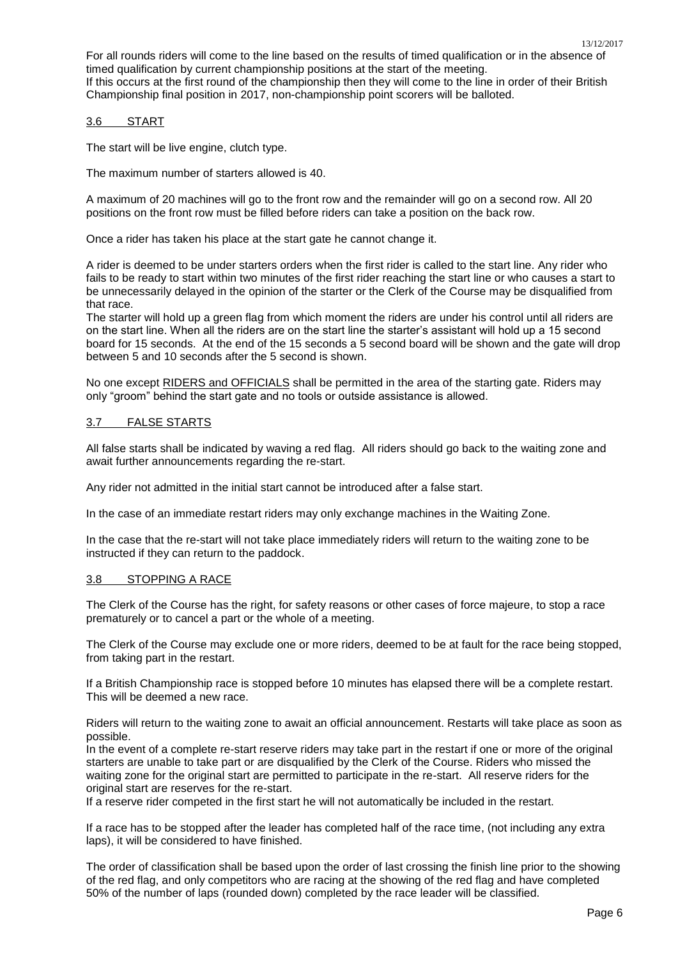## <span id="page-5-0"></span>3.6 START

The start will be live engine, clutch type.

The maximum number of starters allowed is 40.

A maximum of 20 machines will go to the front row and the remainder will go on a second row. All 20 positions on the front row must be filled before riders can take a position on the back row.

Once a rider has taken his place at the start gate he cannot change it.

A rider is deemed to be under starters orders when the first rider is called to the start line. Any rider who fails to be ready to start within two minutes of the first rider reaching the start line or who causes a start to be unnecessarily delayed in the opinion of the starter or the Clerk of the Course may be disqualified from that race.

The starter will hold up a green flag from which moment the riders are under his control until all riders are on the start line. When all the riders are on the start line the starter's assistant will hold up a 15 second board for 15 seconds. At the end of the 15 seconds a 5 second board will be shown and the gate will drop between 5 and 10 seconds after the 5 second is shown.

No one except RIDERS and OFFICIALS shall be permitted in the area of the starting gate. Riders may only "groom" behind the start gate and no tools or outside assistance is allowed.

## <span id="page-5-1"></span>3.7 FALSE STARTS

All false starts shall be indicated by waving a red flag. All riders should go back to the waiting zone and await further announcements regarding the re-start.

Any rider not admitted in the initial start cannot be introduced after a false start.

In the case of an immediate restart riders may only exchange machines in the Waiting Zone.

In the case that the re-start will not take place immediately riders will return to the waiting zone to be instructed if they can return to the paddock.

## <span id="page-5-2"></span>3.8 STOPPING A RACE

The Clerk of the Course has the right, for safety reasons or other cases of force majeure, to stop a race prematurely or to cancel a part or the whole of a meeting.

The Clerk of the Course may exclude one or more riders, deemed to be at fault for the race being stopped, from taking part in the restart.

If a British Championship race is stopped before 10 minutes has elapsed there will be a complete restart. This will be deemed a new race.

Riders will return to the waiting zone to await an official announcement. Restarts will take place as soon as possible.

In the event of a complete re-start reserve riders may take part in the restart if one or more of the original starters are unable to take part or are disqualified by the Clerk of the Course. Riders who missed the waiting zone for the original start are permitted to participate in the re-start. All reserve riders for the original start are reserves for the re-start.

If a reserve rider competed in the first start he will not automatically be included in the restart.

If a race has to be stopped after the leader has completed half of the race time, (not including any extra laps), it will be considered to have finished.

The order of classification shall be based upon the order of last crossing the finish line prior to the showing of the red flag, and only competitors who are racing at the showing of the red flag and have completed 50% of the number of laps (rounded down) completed by the race leader will be classified.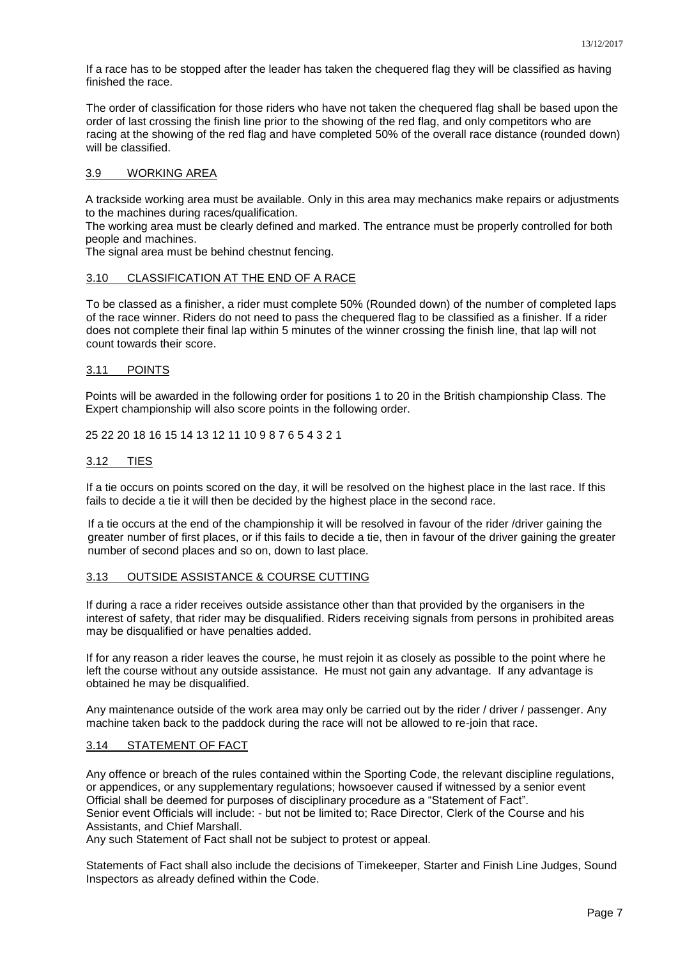If a race has to be stopped after the leader has taken the chequered flag they will be classified as having finished the race.

The order of classification for those riders who have not taken the chequered flag shall be based upon the order of last crossing the finish line prior to the showing of the red flag, and only competitors who are racing at the showing of the red flag and have completed 50% of the overall race distance (rounded down) will be classified.

#### <span id="page-6-0"></span>3.9 WORKING AREA

A trackside working area must be available. Only in this area may mechanics make repairs or adjustments to the machines during races/qualification.

The working area must be clearly defined and marked. The entrance must be properly controlled for both people and machines.

The signal area must be behind chestnut fencing.

#### <span id="page-6-1"></span>3.10 CLASSIFICATION AT THE END OF A RACE

To be classed as a finisher, a rider must complete 50% (Rounded down) of the number of completed laps of the race winner. Riders do not need to pass the chequered flag to be classified as a finisher. If a rider does not complete their final lap within 5 minutes of the winner crossing the finish line, that lap will not count towards their score.

#### <span id="page-6-2"></span>3.11 POINTS

Points will be awarded in the following order for positions 1 to 20 in the British championship Class. The Expert championship will also score points in the following order.

25 22 20 18 16 15 14 13 12 11 10 9 8 7 6 5 4 3 2 1

#### <span id="page-6-3"></span>3.12 TIES

If a tie occurs on points scored on the day, it will be resolved on the highest place in the last race. If this fails to decide a tie it will then be decided by the highest place in the second race.

If a tie occurs at the end of the championship it will be resolved in favour of the rider /driver gaining the greater number of first places, or if this fails to decide a tie, then in favour of the driver gaining the greater number of second places and so on, down to last place.

#### <span id="page-6-4"></span>3.13 OUTSIDE ASSISTANCE & COURSE CUTTING

If during a race a rider receives outside assistance other than that provided by the organisers in the interest of safety, that rider may be disqualified. Riders receiving signals from persons in prohibited areas may be disqualified or have penalties added.

If for any reason a rider leaves the course, he must rejoin it as closely as possible to the point where he left the course without any outside assistance. He must not gain any advantage. If any advantage is obtained he may be disqualified.

Any maintenance outside of the work area may only be carried out by the rider / driver / passenger. Any machine taken back to the paddock during the race will not be allowed to re-join that race.

#### <span id="page-6-5"></span>3.14 STATEMENT OF FACT

Any offence or breach of the rules contained within the Sporting Code, the relevant discipline regulations, or appendices, or any supplementary regulations; howsoever caused if witnessed by a senior event Official shall be deemed for purposes of disciplinary procedure as a "Statement of Fact". Senior event Officials will include: - but not be limited to; Race Director, Clerk of the Course and his Assistants, and Chief Marshall.

Any such Statement of Fact shall not be subject to protest or appeal.

Statements of Fact shall also include the decisions of Timekeeper, Starter and Finish Line Judges, Sound Inspectors as already defined within the Code.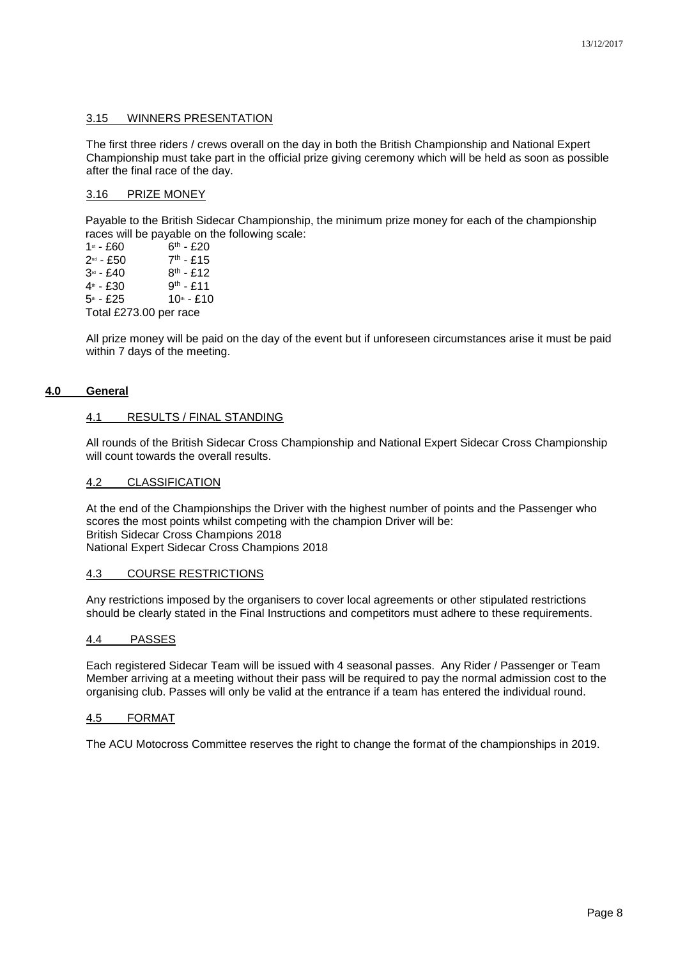#### <span id="page-7-0"></span>3.15 WINNERS PRESENTATION

The first three riders / crews overall on the day in both the British Championship and National Expert Championship must take part in the official prize giving ceremony which will be held as soon as possible after the final race of the day.

#### <span id="page-7-1"></span>3.16 PRIZE MONEY

Payable to the British Sidecar Championship, the minimum prize money for each of the championship races will be payable on the following scale:

| 1st - £60              | $6th - £20$ |  |  |
|------------------------|-------------|--|--|
| 2ª - £50               | $7th - £15$ |  |  |
| 3ª - £40               | $8th - £12$ |  |  |
| 4ª - £30               | $9th - £11$ |  |  |
| 5ա - £25               | $10m - £10$ |  |  |
| Total £273.00 per race |             |  |  |

All prize money will be paid on the day of the event but if unforeseen circumstances arise it must be paid within 7 days of the meeting.

## <span id="page-7-3"></span><span id="page-7-2"></span>**4.0 General**

## 4.1 RESULTS / FINAL STANDING

All rounds of the British Sidecar Cross Championship and National Expert Sidecar Cross Championship will count towards the overall results.

#### <span id="page-7-4"></span>4.2 CLASSIFICATION

At the end of the Championships the Driver with the highest number of points and the Passenger who scores the most points whilst competing with the champion Driver will be: British Sidecar Cross Champions 2018 National Expert Sidecar Cross Champions 2018

#### <span id="page-7-5"></span>4.3 COURSE RESTRICTIONS

Any restrictions imposed by the organisers to cover local agreements or other stipulated restrictions should be clearly stated in the Final Instructions and competitors must adhere to these requirements.

#### <span id="page-7-6"></span>4.4 PASSES

Each registered Sidecar Team will be issued with 4 seasonal passes. Any Rider / Passenger or Team Member arriving at a meeting without their pass will be required to pay the normal admission cost to the organising club. Passes will only be valid at the entrance if a team has entered the individual round.

#### <span id="page-7-7"></span>4.5 FORMAT

The ACU Motocross Committee reserves the right to change the format of the championships in 2019.